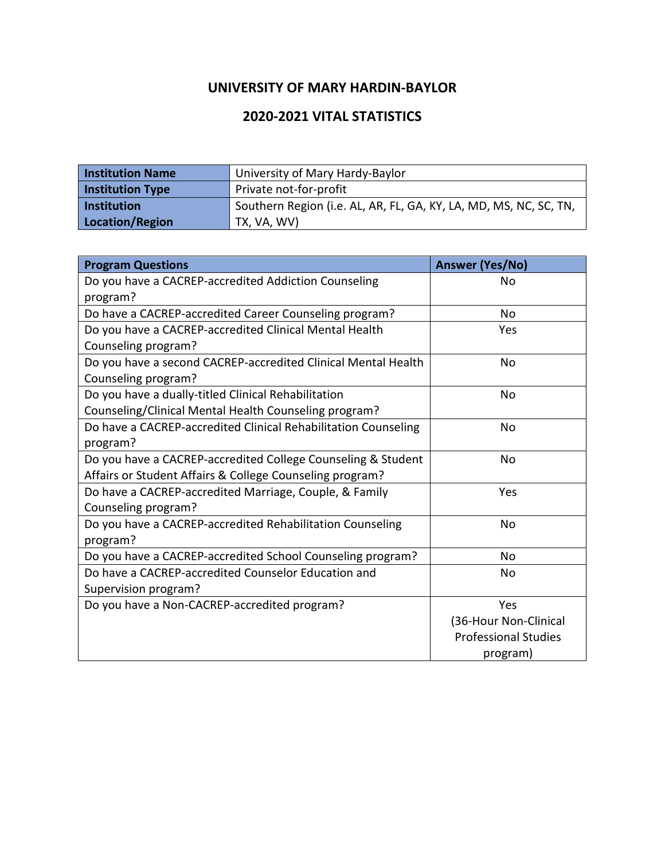## **UNIVERSITY OF MARY HARDIN-BAYLOR**

## **2020-2021 VITAL STATISTICS**

| <b>Institution Name</b> | University of Mary Hardy-Baylor                                   |
|-------------------------|-------------------------------------------------------------------|
| <b>Institution Type</b> | Private not-for-profit                                            |
| Institution             | Southern Region (i.e. AL, AR, FL, GA, KY, LA, MD, MS, NC, SC, TN, |
| Location/Region         | TX, VA, WV)                                                       |

| <b>Program Questions</b>                                       | <b>Answer (Yes/No)</b>      |
|----------------------------------------------------------------|-----------------------------|
| Do you have a CACREP-accredited Addiction Counseling           | No                          |
| program?                                                       |                             |
| Do have a CACREP-accredited Career Counseling program?         | No                          |
| Do you have a CACREP-accredited Clinical Mental Health         | Yes                         |
| Counseling program?                                            |                             |
| Do you have a second CACREP-accredited Clinical Mental Health  | <b>No</b>                   |
| Counseling program?                                            |                             |
| Do you have a dually-titled Clinical Rehabilitation            | No.                         |
| Counseling/Clinical Mental Health Counseling program?          |                             |
| Do have a CACREP-accredited Clinical Rehabilitation Counseling | No.                         |
| program?                                                       |                             |
| Do you have a CACREP-accredited College Counseling & Student   | No.                         |
| Affairs or Student Affairs & College Counseling program?       |                             |
| Do have a CACREP-accredited Marriage, Couple, & Family         | Yes                         |
| Counseling program?                                            |                             |
| Do you have a CACREP-accredited Rehabilitation Counseling      | <b>No</b>                   |
| program?                                                       |                             |
| Do you have a CACREP-accredited School Counseling program?     | <b>No</b>                   |
| Do have a CACREP-accredited Counselor Education and            | No                          |
| Supervision program?                                           |                             |
| Do you have a Non-CACREP-accredited program?                   | Yes                         |
|                                                                | (36-Hour Non-Clinical       |
|                                                                | <b>Professional Studies</b> |
|                                                                | program)                    |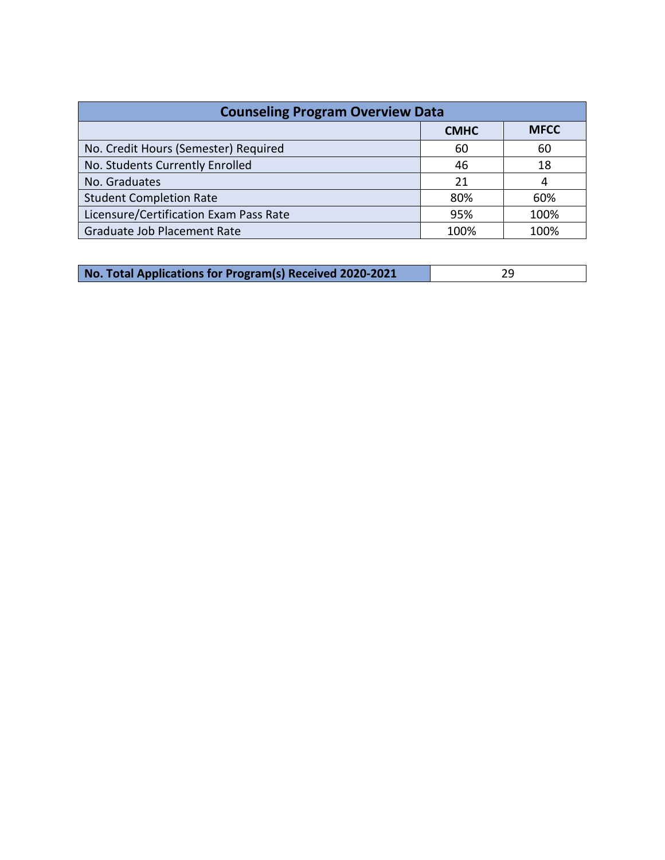| <b>Counseling Program Overview Data</b> |             |             |  |
|-----------------------------------------|-------------|-------------|--|
|                                         | <b>CMHC</b> | <b>MFCC</b> |  |
| No. Credit Hours (Semester) Required    | 60          | 60          |  |
| No. Students Currently Enrolled         | 46          | 18          |  |
| No. Graduates                           | 21          | 4           |  |
| <b>Student Completion Rate</b>          | 80%         | 60%         |  |
| Licensure/Certification Exam Pass Rate  | 95%         | 100%        |  |
| Graduate Job Placement Rate             | 100%        | 100%        |  |

| No. Total Applications for Program(s) Received 2020-2021 |  |
|----------------------------------------------------------|--|
|                                                          |  |